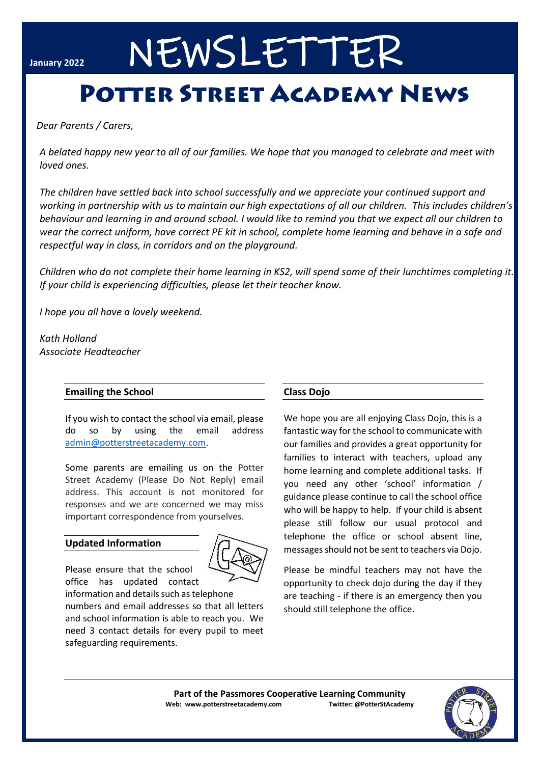# **January 2022** NEWSLETTER

## **POTTER STREET ACADEMY NEWS**

*Dear Parents / Carers,* 

*A belated happy new year to all of our families. We hope that you managed to celebrate and meet with loved ones.*

*The children have settled back into school successfully and we appreciate your continued support and working in partnership with us to maintain our high expectations of all our children. This includes children's behaviour and learning in and around school. I would like to remind you that we expect all our children to wear the correct uniform, have correct PE kit in school, complete home learning and behave in a safe and respectful way in class, in corridors and on the playground.* 

*Children who do not complete their home learning in KS2, will spend some of their lunchtimes completing it. If your child is experiencing difficulties, please let their teacher know.*

*I hope you all have a lovely weekend.*

*Kath Holland Associate Headteacher*

#### **Emailing the School**

If you wish to contact the school via email, please do so by using the email address [admin@potterstreetacademy.com.](about:blank)

Some parents are emailing us on the Potter Street Academy (Please Do Not Reply) email address. This account is not monitored for responses and we are concerned we may miss important correspondence from yourselves.

#### **Updated Information**



Please ensure that the school office has updated contact

information and details such as te[lephone](about:blank)  numbers and email addresses so that all letters and school information is able to reach you. We need 3 contact details for every pupil to meet safeguarding requirements.

#### **Class Dojo**

We hope you are all enjoying Class Dojo, this is a fantastic way for the school to communicate with our families and provides a great opportunity for families to interact with teachers, upload any home learning and complete additional tasks. If you need any other 'school' information / guidance please continue to call the school office who will be happy to help. If your child is absent please still follow our usual protocol and telephone the office or school absent line, messages should not be sent to teachers via Dojo.

Please be mindful teachers may not have the opportunity to check dojo during the day if they are teaching - if there is an emergency then you should still telephone the office.

**Part of the Passmores Cooperative Learning Community Web: www.potterstreetacademy.com Twitter: @PotterStAcademy**

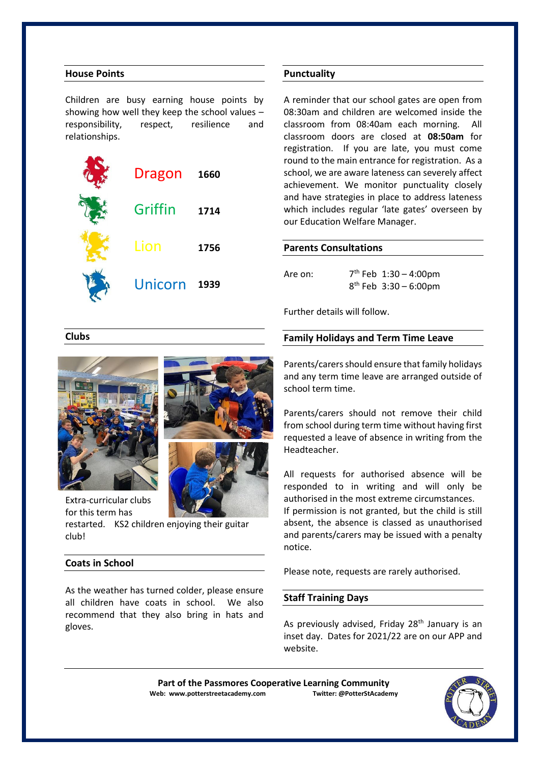#### **House Points**

Children are busy earning house points by showing how well they keep the school values – responsibility, respect, resilience and relationships.

| <b>Dragon</b>  | 1660 |
|----------------|------|
| Griffin        | 1714 |
| Lion           | 1756 |
| <b>Unicorn</b> | 1939 |

#### **Punctuality**

A reminder that our school gates are open from 08:30am and children are welcomed inside the classroom from 08:40am each morning. All classroom doors are closed at **08:50am** for registration. If you are late, you must come round to the main entrance for registration. As a school, we are aware lateness can severely affect achievement. We monitor punctuality closely and have strategies in place to address lateness which includes regular 'late gates' overseen by our Education Welfare Manager.

#### **Parents Consultations**

Are on:  $7<sup>th</sup>$  Feb  $1:30 - 4:00$ pm 8 th Feb 3:30 – 6:00pm

Further details will follow.

#### **Family Holidays and Term Time Leave**

Parents/carers should ensure that family holidays and any term time leave are arranged outside of school term time.

Parents/carers should not remove their child from school during term time without having first requested a leave of absence in writing from the Headteacher.

All requests for authorised absence will be responded to in writing and will only be authorised in the most extreme circumstances. If permission is not granted, but the child is still absent, the absence is classed as unauthorised and parents/carers may be issued with a penalty notice.

Please note, requests are rarely authorised.

#### **Staff Training Days**

As previously advised, Friday 28<sup>th</sup> January is an inset day. Dates for 2021/22 are on our APP and website.





**Clubs**

Extra-curricular clubs for this term has

restarted. KS2 children enjoying their guitar club!

#### **Coats in School**

As the weather has turned colder, please ensure all children have coats in school. We also recommend that they also bring in hats and gloves.